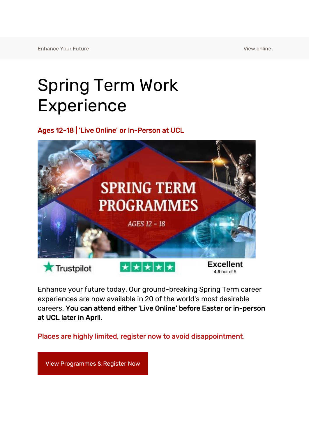## Spring Term Work Experience

Ages 12-18 | 'Live Online' or In-Person at UCL



Enhance your future today. Our ground-breaking Spring Term career experiences are now available in 20 of the world's most desirable careers. You can attend either 'Live Online' before Easter or in-person at UCL later in April.

Places are highly limited, register now to avoid disappointment.

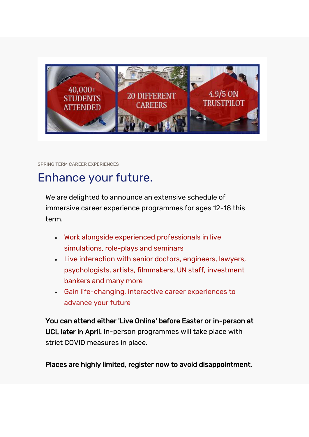

SPRING TERM CAREER EXPERIENCES

## Enhance your future.

We are delighted to announce an extensive schedule of immersive career experience programmes for ages 12-18 this term.

- Work alongside experienced professionals in live simulations, role-plays and seminars
- Live interaction with senior doctors, engineers, lawyers, psychologists, artists, filmmakers, UN staff, investment bankers and many more
- Gain life-changing, interactive career experiences to advance your future

You can attend either 'Live Online' before Easter or in-person at UCL later in April. In-person programmes will take place with strict COVID measures in place.

Places are highly limited, register now to avoid disappointment.